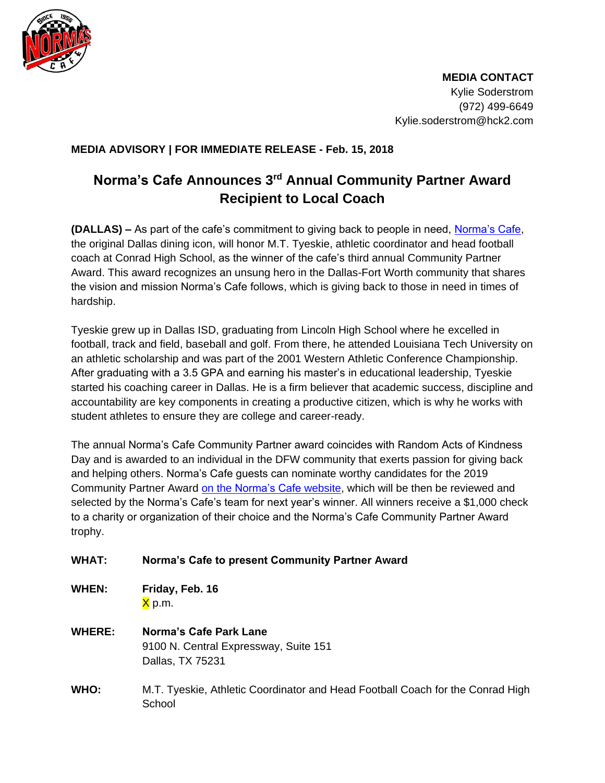

 **MEDIA CONTACT** Kylie Soderstrom (972) 499-6649 Kylie.soderstrom@hck2.com

## **MEDIA ADVISORY | FOR IMMEDIATE RELEASE - Feb. 15, 2018**

## **Norma's Cafe Announces 3 rd Annual Community Partner Award Recipient to Local Coach**

**(DALLAS) –** As part of the cafe's commitment to giving back to people in need, [Norma's Cafe,](http://normascafe.com/) the original Dallas dining icon, will honor M.T. Tyeskie, athletic coordinator and head football coach at Conrad High School, as the winner of the cafe's third annual Community Partner Award. This award recognizes an unsung hero in the Dallas-Fort Worth community that shares the vision and mission Norma's Cafe follows, which is giving back to those in need in times of hardship.

Tyeskie grew up in Dallas ISD, graduating from Lincoln High School where he excelled in football, track and field, baseball and golf. From there, he attended Louisiana Tech University on an athletic scholarship and was part of the 2001 Western Athletic Conference Championship. After graduating with a 3.5 GPA and earning his master's in educational leadership, Tyeskie started his coaching career in Dallas. He is a firm believer that academic success, discipline and accountability are key components in creating a productive citizen, which is why he works with student athletes to ensure they are college and career-ready.

The annual Norma's Cafe Community Partner award coincides with Random Acts of Kindness Day and is awarded to an individual in the DFW community that exerts passion for giving back and helping others. Norma's Cafe guests can nominate worthy candidates for the 2019 Community Partner Award [on the Norma's Cafe website,](http://normascafe.com/news/awards/form) which will be then be reviewed and selected by the Norma's Cafe's team for next year's winner. All winners receive a \$1,000 check to a charity or organization of their choice and the Norma's Cafe Community Partner Award trophy.

## **WHAT: Norma's Cafe to present Community Partner Award**

- **WHEN: Friday, Feb. 16** X p.m.
- **WHERE: Norma's Cafe Park Lane** 9100 N. Central Expressway, Suite 151 Dallas, TX 75231
- **WHO:** M.T. Tyeskie, Athletic Coordinator and Head Football Coach for the Conrad High **School**